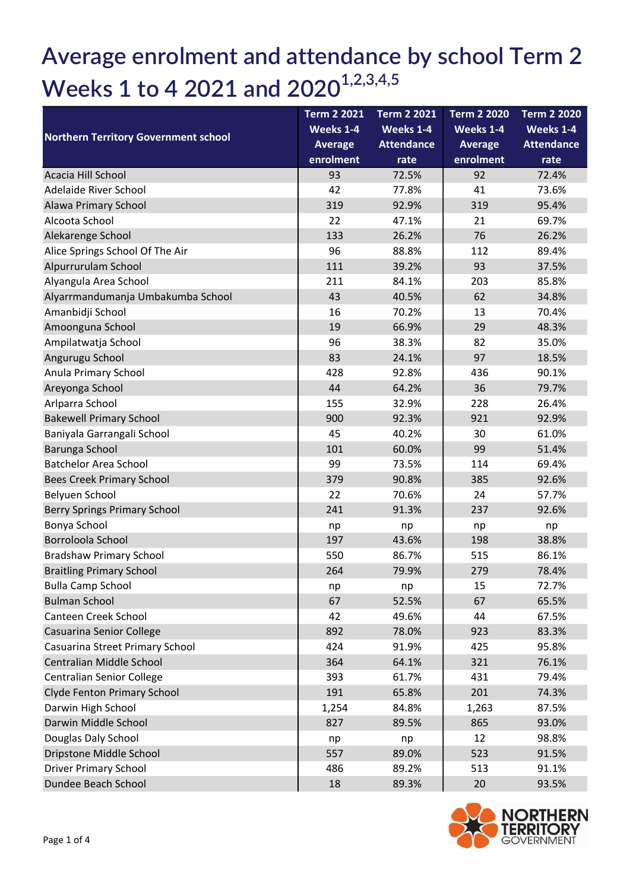## Average enrolment and attendance by school Term 2 Weeks 1 to 4 2021 and  $2020^{1,2,3,4,5}$

| <b>Northern Territory Government school</b> | <b>Term 2 2021</b> | <b>Term 2 2021</b> | <b>Term 2 2020</b> | <b>Term 2 2020</b> |
|---------------------------------------------|--------------------|--------------------|--------------------|--------------------|
|                                             | Weeks 1-4          | Weeks 1-4          | Weeks 1-4          | Weeks 1-4          |
|                                             | <b>Average</b>     | <b>Attendance</b>  | <b>Average</b>     | <b>Attendance</b>  |
|                                             | enrolment          | rate               | enrolment          | rate               |
| Acacia Hill School                          | 93                 | 72.5%              | 92                 | 72.4%              |
| Adelaide River School                       | 42                 | 77.8%              | 41                 | 73.6%              |
| Alawa Primary School                        | 319                | 92.9%              | 319                | 95.4%              |
| Alcoota School                              | 22                 | 47.1%              | 21                 | 69.7%              |
| Alekarenge School                           | 133                | 26.2%              | 76                 | 26.2%              |
| Alice Springs School Of The Air             | 96                 | 88.8%              | 112                | 89.4%              |
| Alpurrurulam School                         | 111                | 39.2%              | 93                 | 37.5%              |
| Alyangula Area School                       | 211                | 84.1%              | 203                | 85.8%              |
| Alyarrmandumanja Umbakumba School           | 43                 | 40.5%              | 62                 | 34.8%              |
| Amanbidji School                            | 16                 | 70.2%              | 13                 | 70.4%              |
| Amoonguna School                            | 19                 | 66.9%              | 29                 | 48.3%              |
| Ampilatwatja School                         | 96                 | 38.3%              | 82                 | 35.0%              |
| Angurugu School                             | 83                 | 24.1%              | 97                 | 18.5%              |
| Anula Primary School                        | 428                | 92.8%              | 436                | 90.1%              |
| Areyonga School                             | 44                 | 64.2%              | 36                 | 79.7%              |
| Arlparra School                             | 155                | 32.9%              | 228                | 26.4%              |
| <b>Bakewell Primary School</b>              | 900                | 92.3%              | 921                | 92.9%              |
| Baniyala Garrangali School                  | 45                 | 40.2%              | 30                 | 61.0%              |
| Barunga School                              | 101                | 60.0%              | 99                 | 51.4%              |
| <b>Batchelor Area School</b>                | 99                 | 73.5%              | 114                | 69.4%              |
| <b>Bees Creek Primary School</b>            | 379                | 90.8%              | 385                | 92.6%              |
| Belyuen School                              | 22                 | 70.6%              | 24                 | 57.7%              |
| Berry Springs Primary School                | 241                | 91.3%              | 237                | 92.6%              |
| Bonya School                                | np                 | np                 | np                 | np                 |
| Borroloola School                           | 197                | 43.6%              | 198                | 38.8%              |
| <b>Bradshaw Primary School</b>              | 550                | 86.7%              | 515                | 86.1%              |
| <b>Braitling Primary School</b>             | 264                | 79.9%              | 279                | 78.4%              |
| <b>Bulla Camp School</b>                    | np                 | np                 | 15                 | 72.7%              |
| <b>Bulman School</b>                        | 67                 | 52.5%              | 67                 | 65.5%              |
| Canteen Creek School                        | 42                 | 49.6%              | 44                 | 67.5%              |
| Casuarina Senior College                    | 892                | 78.0%              | 923                | 83.3%              |
| Casuarina Street Primary School             | 424                | 91.9%              | 425                | 95.8%              |
| Centralian Middle School                    | 364                | 64.1%              | 321                | 76.1%              |
| <b>Centralian Senior College</b>            | 393                | 61.7%              | 431                | 79.4%              |
| Clyde Fenton Primary School                 | 191                | 65.8%              | 201                | 74.3%              |
| Darwin High School                          | 1,254              | 84.8%              | 1,263              | 87.5%              |
| Darwin Middle School                        | 827                | 89.5%              | 865                | 93.0%              |
| Douglas Daly School                         | np                 | np                 | 12                 | 98.8%              |
| Dripstone Middle School                     | 557                | 89.0%              | 523                | 91.5%              |
| <b>Driver Primary School</b>                | 486                | 89.2%              | 513                | 91.1%              |
| Dundee Beach School                         | 18                 | 89.3%              | 20                 | 93.5%              |

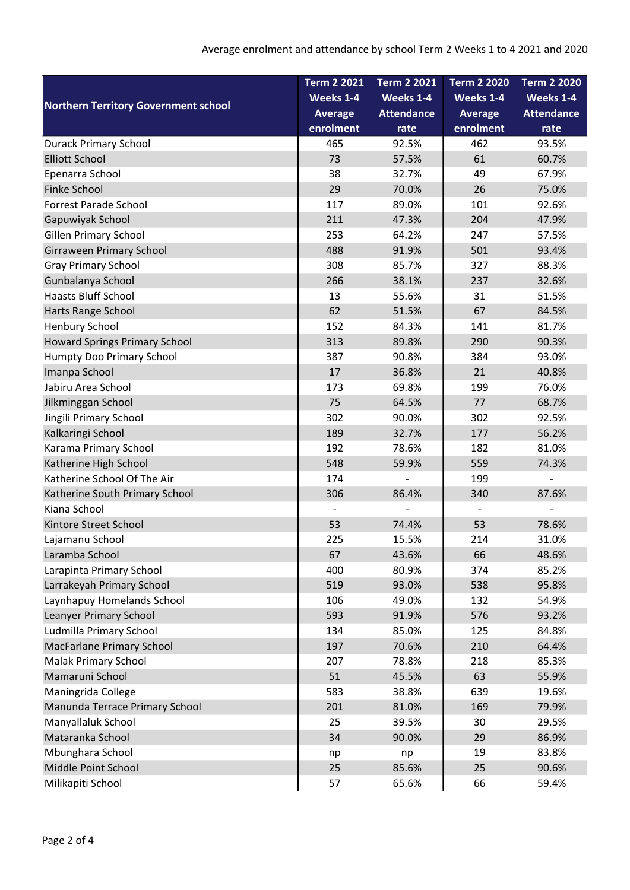| <b>Northern Territory Government school</b> | <b>Term 2 2021</b>           | <b>Term 2 2021</b> | <b>Term 2 2020</b> | <b>Term 2 2020</b> |
|---------------------------------------------|------------------------------|--------------------|--------------------|--------------------|
|                                             | Weeks 1-4                    | Weeks 1-4          | Weeks 1-4          | Weeks 1-4          |
|                                             | <b>Average</b>               | <b>Attendance</b>  | <b>Average</b>     | <b>Attendance</b>  |
|                                             | enrolment                    | rate               | enrolment          | rate               |
| <b>Durack Primary School</b>                | 465                          | 92.5%              | 462                | 93.5%              |
| <b>Elliott School</b>                       | 73                           | 57.5%              | 61                 | 60.7%              |
| Epenarra School                             | 38                           | 32.7%              | 49                 | 67.9%              |
| <b>Finke School</b>                         | 29                           | 70.0%              | 26                 | 75.0%              |
| <b>Forrest Parade School</b>                | 117                          | 89.0%              | 101                | 92.6%              |
| Gapuwiyak School                            | 211                          | 47.3%              | 204                | 47.9%              |
| Gillen Primary School                       | 253                          | 64.2%              | 247                | 57.5%              |
| Girraween Primary School                    | 488                          | 91.9%              | 501                | 93.4%              |
| <b>Gray Primary School</b>                  | 308                          | 85.7%              | 327                | 88.3%              |
| Gunbalanya School                           | 266                          | 38.1%              | 237                | 32.6%              |
| <b>Haasts Bluff School</b>                  | 13                           | 55.6%              | 31                 | 51.5%              |
| Harts Range School                          | 62                           | 51.5%              | 67                 | 84.5%              |
| Henbury School                              | 152                          | 84.3%              | 141                | 81.7%              |
| <b>Howard Springs Primary School</b>        | 313                          | 89.8%              | 290                | 90.3%              |
| Humpty Doo Primary School                   | 387                          | 90.8%              | 384                | 93.0%              |
| Imanpa School                               | 17                           | 36.8%              | 21                 | 40.8%              |
| Jabiru Area School                          | 173                          | 69.8%              | 199                | 76.0%              |
| Jilkminggan School                          | 75                           | 64.5%              | 77                 | 68.7%              |
| Jingili Primary School                      | 302                          | 90.0%              | 302                | 92.5%              |
| Kalkaringi School                           | 189                          | 32.7%              | 177                | 56.2%              |
| Karama Primary School                       | 192                          | 78.6%              | 182                | 81.0%              |
| Katherine High School                       | 548                          | 59.9%              | 559                | 74.3%              |
| Katherine School Of The Air                 | 174                          | $\overline{a}$     | 199                |                    |
| Katherine South Primary School              | 306                          | 86.4%              | 340                | 87.6%              |
| Kiana School                                | $\qquad \qquad \blacksquare$ |                    |                    |                    |
| Kintore Street School                       | 53                           | 74.4%              | 53                 | 78.6%              |
| Lajamanu School                             | 225                          | 15.5%              | 214                | 31.0%              |
| Laramba School                              | 67                           | 43.6%              | 66                 | 48.6%              |
| Larapinta Primary School                    | 400                          | 80.9%              | 374                | 85.2%              |
| Larrakeyah Primary School                   | 519                          | 93.0%              | 538                | 95.8%              |
| Laynhapuy Homelands School                  | 106                          | 49.0%              | 132                | 54.9%              |
| Leanyer Primary School                      | 593                          | 91.9%              | 576                | 93.2%              |
| Ludmilla Primary School                     | 134                          | 85.0%              | 125                | 84.8%              |
| MacFarlane Primary School                   | 197                          | 70.6%              | 210                | 64.4%              |
| Malak Primary School                        | 207                          | 78.8%              | 218                | 85.3%              |
| Mamaruni School                             | 51                           | 45.5%              | 63                 | 55.9%              |
| Maningrida College                          | 583                          | 38.8%              | 639                | 19.6%              |
| Manunda Terrace Primary School              | 201                          | 81.0%              | 169                | 79.9%              |
| Manyallaluk School                          | 25                           | 39.5%              | 30                 | 29.5%              |
| Mataranka School                            | 34                           | 90.0%              | 29                 | 86.9%              |
| Mbunghara School                            | np                           | np                 | 19                 | 83.8%              |
| Middle Point School                         | 25                           | 85.6%              | 25                 | 90.6%              |
| Milikapiti School                           | 57                           | 65.6%              | 66                 | 59.4%              |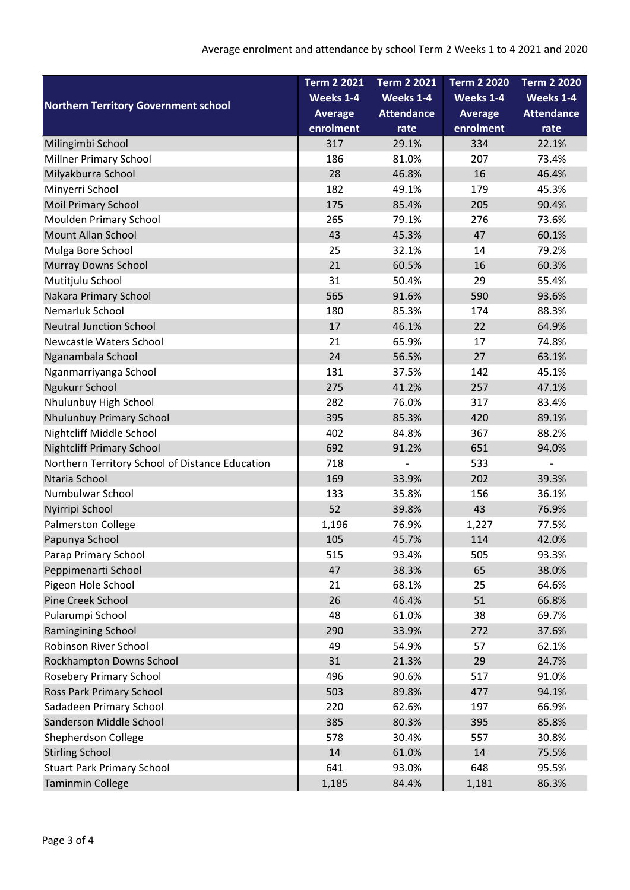| <b>Northern Territory Government school</b>     | <b>Term 2 2021</b> | <b>Term 2 2021</b> | Term 2 2020    | <b>Term 2 2020</b> |
|-------------------------------------------------|--------------------|--------------------|----------------|--------------------|
|                                                 | Weeks 1-4          | Weeks 1-4          | Weeks 1-4      | Weeks 1-4          |
|                                                 | <b>Average</b>     | <b>Attendance</b>  | <b>Average</b> | <b>Attendance</b>  |
|                                                 | enrolment          | rate               | enrolment      | rate               |
| Milingimbi School                               | 317                | 29.1%              | 334            | 22.1%              |
| <b>Millner Primary School</b>                   | 186                | 81.0%              | 207            | 73.4%              |
| Milyakburra School                              | 28                 | 46.8%              | 16             | 46.4%              |
| Minyerri School                                 | 182                | 49.1%              | 179            | 45.3%              |
| <b>Moil Primary School</b>                      | 175                | 85.4%              | 205            | 90.4%              |
| Moulden Primary School                          | 265                | 79.1%              | 276            | 73.6%              |
| <b>Mount Allan School</b>                       | 43                 | 45.3%              | 47             | 60.1%              |
| Mulga Bore School                               | 25                 | 32.1%              | 14             | 79.2%              |
| <b>Murray Downs School</b>                      | 21                 | 60.5%              | 16             | 60.3%              |
| Mutitjulu School                                | 31                 | 50.4%              | 29             | 55.4%              |
| Nakara Primary School                           | 565                | 91.6%              | 590            | 93.6%              |
| Nemarluk School                                 | 180                | 85.3%              | 174            | 88.3%              |
| <b>Neutral Junction School</b>                  | 17                 | 46.1%              | 22             | 64.9%              |
| Newcastle Waters School                         | 21                 | 65.9%              | 17             | 74.8%              |
| Nganambala School                               | 24                 | 56.5%              | 27             | 63.1%              |
| Nganmarriyanga School                           | 131                | 37.5%              | 142            | 45.1%              |
| Ngukurr School                                  | 275                | 41.2%              | 257            | 47.1%              |
| Nhulunbuy High School                           | 282                | 76.0%              | 317            | 83.4%              |
| Nhulunbuy Primary School                        | 395                | 85.3%              | 420            | 89.1%              |
| Nightcliff Middle School                        | 402                | 84.8%              | 367            | 88.2%              |
| <b>Nightcliff Primary School</b>                | 692                | 91.2%              | 651            | 94.0%              |
| Northern Territory School of Distance Education | 718                |                    | 533            |                    |
| Ntaria School                                   | 169                | 33.9%              | 202            | 39.3%              |
| Numbulwar School                                | 133                | 35.8%              | 156            | 36.1%              |
| Nyirripi School                                 | 52                 | 39.8%              | 43             | 76.9%              |
| Palmerston College                              | 1,196              | 76.9%              | 1,227          | 77.5%              |
| Papunya School                                  | 105                | 45.7%              | 114            | 42.0%              |
| Parap Primary School                            | 515                | 93.4%              | 505            | 93.3%              |
| Peppimenarti School                             | 47                 | 38.3%              | 65             | 38.0%              |
| Pigeon Hole School                              | 21                 | 68.1%              | 25             | 64.6%              |
| Pine Creek School                               | 26                 | 46.4%              | 51             | 66.8%              |
| Pularumpi School                                | 48                 | 61.0%              | 38             | 69.7%              |
| Ramingining School                              | 290                | 33.9%              | 272            | 37.6%              |
| Robinson River School                           | 49                 | 54.9%              | 57             | 62.1%              |
| Rockhampton Downs School                        | 31                 | 21.3%              | 29             | 24.7%              |
| <b>Rosebery Primary School</b>                  | 496                | 90.6%              | 517            | 91.0%              |
| Ross Park Primary School                        | 503                | 89.8%              | 477            | 94.1%              |
| Sadadeen Primary School                         | 220                | 62.6%              | 197            | 66.9%              |
| Sanderson Middle School                         | 385                | 80.3%              | 395            | 85.8%              |
| Shepherdson College                             | 578                | 30.4%              | 557            | 30.8%              |
| <b>Stirling School</b>                          | 14                 | 61.0%              | 14             | 75.5%              |
| <b>Stuart Park Primary School</b>               | 641                | 93.0%              | 648            | 95.5%              |
| <b>Taminmin College</b>                         | 1,185              | 84.4%              | 1,181          | 86.3%              |